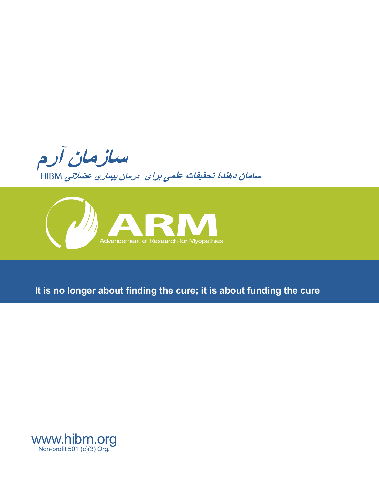



# **It is no longer about finding the cure; it is about funding the cure**

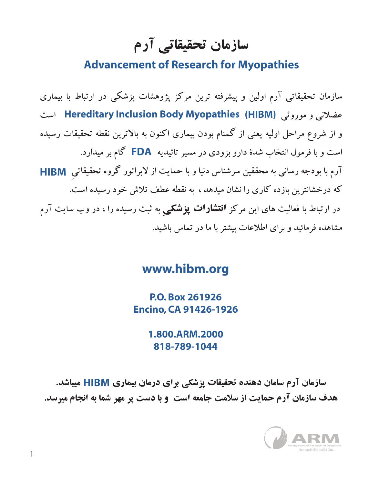سازمان تحقیقاتی آرم

# **Advancement of Research for Myopathies**

سازمان تحقیقاتی آرم اولین و پیشرفته ترین مرکز پژوهشات پزشکی در ارتباط با بیماری عضلانی و موروثی Hereditary Inclusion Body Myopathies (HIBM) است و از شروع مراحل اولیه یعنی از گمنام بودن بیماری اکنون به بالاترین نقطه تحقیقات رسیده است و با فرمول انتخاب شدهٔ دارو بزودی در مسیر تائیدیه **FDA** گام بر میدارد. آرم با بودجه رسانی به محققین سرشناس دنیا و با حمایت از لابراتور گروه تحقیقاتی **HIBM** که درخشانترین بازده کاری را نشان میدهد ، به نقطه عطف تلاش خود رسیده است. در ارتباط با فعالیت های این مرکز **انتشارات پزشکی** به ثبت رسیده را ، در وب سایت آرم مشاهده فرمائید و برای اطلاعات بیشتر با ما در تماس باشید.

# **www.hibm.org**

**P.O. Box 261926 Encino, CA 91426-1926**

> **1.800.ARM.2000 818-789-1044**

سازمان آرم سامان دهنده تحقیقات پزشکی برای درمان بیماری HIBM میباشد. هدف سازمان آرم حمایت از سلامت جامعه است و با دست پر مهر شما به انجام میرسد.

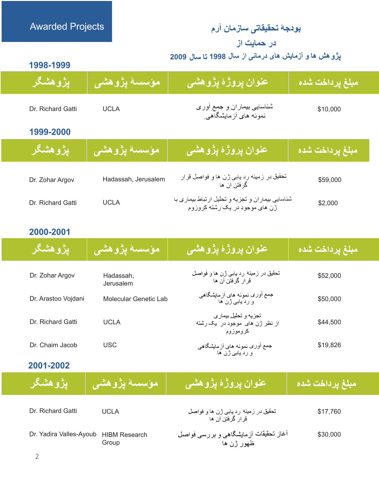# <mark>بودجهٔ تحقیقاتی سازمان</mark> آرم در حمایت از

پڑو هش ها و آزمایش های درمانی از سال 1998 تا سال 2009

**1998-1999**

Awarded Projects

| ۑڗ۫ۅۿۺ۫ػٙڔ        | َ مؤسسىة پِژْوهش <i>ى</i> | عنوان پروژهٔ پژوهشی                                       | مبلغ پرداخت شده |
|-------------------|---------------------------|-----------------------------------------------------------|-----------------|
| Dr. Richard Gatti | <b>UCLA</b>               | شناسایی بیمار ان و جمع أور ی<br>نمونه های أزمایشگاهی      | \$10,000        |
| 1999-2000         |                           |                                                           |                 |
| ۑڗ۫ۅۿۺ۫ػٙڔ        | <sub>ا</sub> مؤسسة پژوهشى | <mark>عنوان پروژهٔ پژوهشی</mark>                          | مبلغ پرداخت شده |
| Dr. Zohar Argov   | Hadassah, Jerusalem       | تحقیق در زمینه رد یابی ژن ها و فواصل قر ار<br>گرفتن آن ها | \$59,000        |

| Dr. Richard Gatti | UCLA | شناسایی بیماران و تجزیه و تحلیل ارتباط بیماری با<br>ژن های موجود در یک رشته کروزوم | \$2,000 |
|-------------------|------|------------------------------------------------------------------------------------|---------|
|                   |      |                                                                                    |         |

### **2000-2001**

| <u>ایژوهشگر</u>     | ً مؤسسة يژوهشي               | <u>عنوان پروژهٔ پژوهشی</u>                                          | مبلغ يرداخت شده |
|---------------------|------------------------------|---------------------------------------------------------------------|-----------------|
| Dr. Zohar Argov     | Hadassah,<br>Jerusalem       | تحقیق در زمینهٔ رد یابی ژن ها و فواصل<br>قر ار گر فتن آن ها         | \$52,000        |
| Dr. Arastoo Vojdani | <b>Molecular Genetic Lab</b> | جمع أوري نمونه هاي أزمايشگاهي<br>و ردیاہے ژن ها                     | \$50,000        |
| Dr. Richard Gatti   | <b>UCLA</b>                  | تجزيه و تحليل بيمار ي<br>از نظر ژن های موجود در یک رشته<br>كروموزوم | \$44,500        |
| Dr. Chaim Jacob     | <b>USC</b>                   | جمع أوري نمونه هاي أزمايشگاهي<br>و ردیاہے ژن ها                     | \$19,826        |

| <u>يژوهشگر</u>          | َ مؤسسة يِژْوهش <i>ى</i>      | ِ عَنُوان پروژهٔ پژوه <i>شی</i>                            | <sub>ا</sub> مبلغ يرداخت شده |
|-------------------------|-------------------------------|------------------------------------------------------------|------------------------------|
| Dr. Richard Gatti       | <b>UCLA</b>                   | تحقیق در زمینهٔ رد یابی ژن ها و فواصل<br>قر از گرفتن آن ها | \$17,760                     |
| Dr. Yadira Valles-Ayoub | <b>HIBM Research</b><br>Group | أغاز تحقیقات أزمایشگاهی و بررسی فواصل<br>ظهور ژن ها        | \$30,000                     |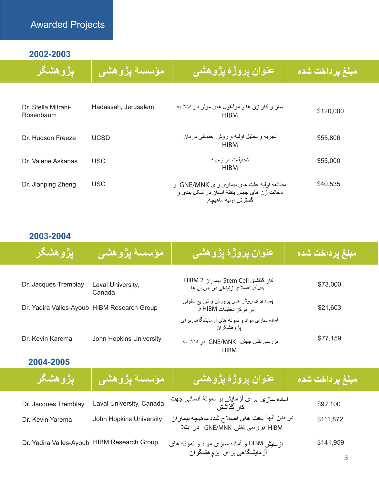# Awarded Projects

**2002-2003**

| <b>يژوهشگر</b>                   | مؤسسة يژوهشى        | عنوان پروژهٔ پژوهشی                                                                                           | <mark>مبلغ پرداخت شده</mark> |
|----------------------------------|---------------------|---------------------------------------------------------------------------------------------------------------|------------------------------|
| Dr. Stella Mitrani-<br>Rosenbaum | Hadassah, Jerusalem | ساز و کار ژن ها و مولکول های موثر در ابتلا به<br><b>HIBM</b>                                                  | \$120,000                    |
| Dr. Hudson Freeze                | <b>UCSD</b>         | تجزیه و تحلیل اولیه و روش احتمالی درمان<br><b>HIBM</b>                                                        | \$55,806                     |
| Dr. Valerie Askanas              | <b>USC</b>          | تحقیقات در از مینه<br><b>HIBM</b>                                                                             | \$55,000                     |
| Dr. Jianping Zheng               | <b>USC</b>          | مطالعه اوليه علت هاي بيماري زاي GNE/MNK و<br>دخالت ژن های جهش یافته انسان در شکل بندی و<br>گسترش اوليه ماهيچه | \$40,535                     |

# **2003-2004**

| <u>ایژوهشگر</u>                             | ا مؤسسة يِژْوْهشى           | عنوان يروژهٔ يژوهشي                                                                                           | مبلغ يرداخت شده |
|---------------------------------------------|-----------------------------|---------------------------------------------------------------------------------------------------------------|-----------------|
| Dr. Jacques Tremblay                        | Laval University,<br>Canada | كار گذاشتن Stem Cell بيمار ان HIBM 2<br>پس/ز اصلاح ژنیتکی در بدن آن ها                                        | \$73,000        |
| Dr. Yadira Valles-Ayoub HIBM Research Group |                             | پی ریزی روش های پرورش و توزیع سلولی<br>در مركز تحقيقات HIBM و                                                 | \$21,603        |
| Dr. Kevin Karema                            | John Hopkins University     | آماده سازی مواد و نمونه های آزمایشگاهی بر ای<br>یژوهشگران<br>بررسی نقش جهش GNE/MNK در ابتلا به<br><b>HIBM</b> | \$77,159        |

| <b>يژوهشگر</b>                              | <sub>ا</sub> مؤسسة پژوهشي | <u> عنوان پروژهٔ پژوهشی</u>                                                       | مبلغ يرداخت شده |
|---------------------------------------------|---------------------------|-----------------------------------------------------------------------------------|-----------------|
| Dr. Jacques Tremblay                        | Laval University, Canada  | اماده سازی برای آزمایش بر نمونهٔ انسانی جهتِ<br>کار گذاشتن                        | \$92,100        |
| Dr. Kevin Yarema                            | John Hopkins University   | در بدن أنها بافت هاي اصلاح شُده ماهيچه بيماران<br>HIBM بررسی نقش GNE/MNK در ابتلا | \$111,872       |
| Dr. Yadira Valles-Ayoub HIBM Research Group |                           | آز مایش HIBM و آماده سازی مواد و نمونه های<br>آزمایشگاهی برای یژوهشگران           | \$141,959       |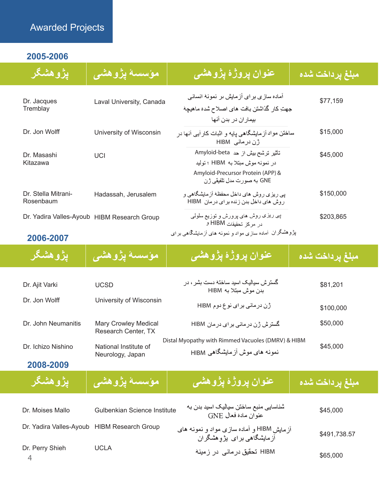# Awarded Projects

# **2005-2006**

| ٳۑڗٚۅۿۺ۫ػڔ                       | مؤسسة يِژْوهشْ <i>ي</i>                     | عنوان پروژهٔ پژوهشی                                                                                           | مبلغ يرداخت شده |
|----------------------------------|---------------------------------------------|---------------------------------------------------------------------------------------------------------------|-----------------|
| Dr. Jacques<br>Tremblay          | Laval University, Canada                    | آماده ساز ی بر ای آزمایش ىر نمونه انسانی<br>جهتِ كار گذاشتن بافت هاى اصلاح شده ماهيچه<br>بیمار ان در بدن آنها | \$77,159        |
| Dr. Jon Wolff                    | University of Wisconsin                     | ساختن مواد آز مایشگاهی پایه و اثبات کار آیی آنها در<br>ڑن در مانی HIBM                                        | \$15,000        |
| Dr. Masashi<br>Kitazawa          | UCI                                         | تأثیر ترشح بیش از حد Amyloid-beta<br>در نمونه موش مبتلا به HIBM ؛ توليد                                       | \$45,000        |
|                                  |                                             | Amyloid-Precursor Protein (APP) &<br>GNE به صور ت مدل تلفیقی ژ ن                                              |                 |
| Dr. Stella Mitrani-<br>Rosenbaum | Hadassah, Jerusalem                         | پی ریزی روش های داخل محفظه آزمایشگاهی و<br>روش های داخل بدن زنده بر ای درمان HIBM                             | \$150,000       |
|                                  | Dr. Yadira Valles-Ayoub HIBM Research Group | پی ریزی روش های پرورش و توزیع سلولی<br>در مركز تحقيقات HIBM و                                                 | \$203,865       |
| 2006-2007                        |                                             | پژوهشگران آماده سازی مواد و نمونه های آزمایشگاهی بر ای                                                        |                 |

### **2006-2007**

<mark>پژوهشگر</mark>

#### عنوان پروڑۂ پڑوه*شی* مبلغ پرداخت شده

| Dr. Ajit Varki      | <b>UCSD</b>                                        | گستر ش سیالیک اسید ساختهٔ دست بشر ، در<br>بدن موش مبتلا به HIBM                      | \$81,201  |
|---------------------|----------------------------------------------------|--------------------------------------------------------------------------------------|-----------|
| Dr. Jon Wolff       | University of Wisconsin                            | ژن در مانی بر ای نو ع دوم HIBM                                                       | \$100,000 |
| Dr. John Neumanitis | <b>Mary Crowley Medical</b><br>Research Center, TX | گستر ش ژ ن در مانی بر ای در مان HIBM                                                 | \$50,000  |
| Dr. Ichizo Nishino  | National Institute of<br>Neurology, Japan          | Distal Myopathy with Rimmed Vacuoles (DMRV) & HIBM<br>نمونه های موش آز مایشگاهی HIBM | \$45,000  |

ِ مؤسسة پژوهش*ی* 

| <b>ٞۑؚڗ۫ۅۿۺ۫ػ</b> ڔ | \ مؤسسة پژوهش <i>ی</i> | <mark>/عنوان پرو</mark> ژهٔ پژوهشی | ىبلغ پرداخت شده |
|---------------------|------------------------|------------------------------------|-----------------|
|                     |                        |                                    |                 |

| Dr. Moises Mallo                            | Gulbenkian Science Institute | شناسایی منبع ساختن سیالیک اسید بدن به<br>عنو ان مادة فعال GNE            | \$45,000     |
|---------------------------------------------|------------------------------|--------------------------------------------------------------------------|--------------|
| Dr. Yadira Valles-Ayoub HIBM Research Group |                              | آز مایش HIBM و آماده سازی مواد و نمونه های<br>آزمایشگاهی بر ای یژوهشگران | \$491,738.57 |
| Dr. Perry Shieh                             | UCLA                         | HIBM تحقیق در مانی  در  ز مینه                                           | \$65,000     |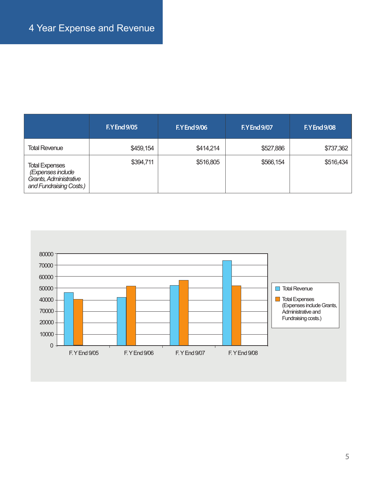|                                                                                                 | <b>F.Y End 9/05</b> | <b>F.Y End 9/06</b> | <b>F.Y End 9/07</b> | <b>F.Y End 9/08</b> |
|-------------------------------------------------------------------------------------------------|---------------------|---------------------|---------------------|---------------------|
| <b>Total Revenue</b>                                                                            | \$459,154           | \$414,214           | \$527,886           | \$737,362           |
| <b>Total Expenses</b><br>(Expenses include<br>Grants, Administrative<br>and Fundraising Costs.) | \$394,711           | \$516,805           | \$566,154           | \$516,434           |

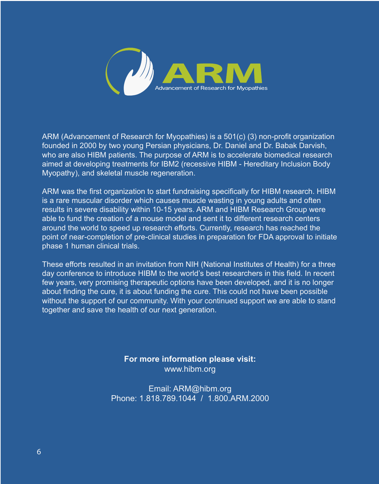

ARM (Advancement of Research for Myopathies) is a 501(c) (3) non-profit organization founded in 2000 by two young Persian physicians, Dr. Daniel and Dr. Babak Darvish, who are also HIBM patients. The purpose of ARM is to accelerate biomedical research aimed at developing treatments for IBM2 (recessive HIBM - Hereditary Inclusion Body Myopathy), and skeletal muscle regeneration.

ARM was the first organization to start fundraising specifically for HIBM research. HIBM is a rare muscular disorder which causes muscle wasting in young adults and often results in severe disability within 10-15 years. ARM and HIBM Research Group were able to fund the creation of a mouse model and sent it to different research centers around the world to speed up research efforts. Currently, research has reached the point of near-completion of pre-clinical studies in preparation for FDA approval to initiate phase 1 human clinical trials.

These efforts resulted in an invitation from NIH (National Institutes of Health) for a three day conference to introduce HIBM to the world's best researchers in this field. In recent few years, very promising therapeutic options have been developed, and it is no longer about finding the cure, it is about funding the cure. This could not have been possible without the support of our community. With your continued support we are able to stand together and save the health of our next generation.

> **For more information please visit:**  www.hibm.org

Email: ARM@hibm.org Phone: 1.818.789.1044 / 1.800.ARM.2000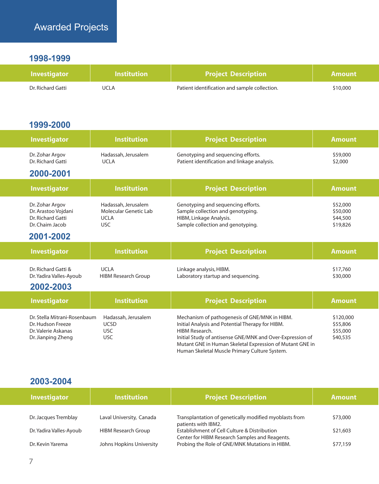### **1998-1999**

| <b>Investigator</b> | $\sf{I}$ Institution $\sf{I}$ | <b>Project Description</b>                    | <b>Amount</b> |
|---------------------|-------------------------------|-----------------------------------------------|---------------|
| Dr. Richard Gatti   | UCLA                          | Patient identification and sample collection. | \$10,000      |

### **1999-2000**

| <b>Investigator</b>                                                                            | <b>Institution</b>                                                        | <b>Project Description</b>                                                                                                                                                                                                                   | <b>Amount</b>                                 |
|------------------------------------------------------------------------------------------------|---------------------------------------------------------------------------|----------------------------------------------------------------------------------------------------------------------------------------------------------------------------------------------------------------------------------------------|-----------------------------------------------|
| Dr. Zohar Argov<br>Dr. Richard Gatti                                                           | Hadassah, Jerusalem<br><b>UCLA</b>                                        | Genotyping and sequencing efforts.<br>Patient identification and linkage analysis.                                                                                                                                                           | \$59,000<br>\$2,000                           |
| 2000-2001                                                                                      |                                                                           |                                                                                                                                                                                                                                              |                                               |
| <b>Investigator</b>                                                                            | <b>Institution</b>                                                        | <b>Project Description</b>                                                                                                                                                                                                                   | <b>Amount</b>                                 |
| Dr. Zohar Argov<br>Dr. Arastoo Vojdani<br>Dr. Richard Gatti<br>Dr. Chaim Jacob                 | Hadassah, Jerusalem<br>Molecular Genetic Lab<br><b>UCLA</b><br><b>USC</b> | Genotyping and sequencing efforts.<br>Sample collection and genotyping.<br>HIBM, Linkage Analysis.<br>Sample collection and genotyping.                                                                                                      | \$52,000<br>\$50,000<br>\$44,500<br>\$19,826  |
| 2001-2002                                                                                      |                                                                           |                                                                                                                                                                                                                                              |                                               |
| <b>Investigator</b>                                                                            | <b>Institution</b>                                                        | <b>Project Description</b>                                                                                                                                                                                                                   | <b>Amount</b>                                 |
| Dr. Richard Gatti &<br>Dr. Yadira Valles-Ayoub                                                 | <b>UCLA</b><br><b>HIBM Research Group</b>                                 | Linkage analysis, HIBM.<br>Laboratory startup and sequencing.                                                                                                                                                                                | \$17,760<br>\$30,000                          |
| 2002-2003                                                                                      |                                                                           |                                                                                                                                                                                                                                              |                                               |
| <b>Investigator</b>                                                                            | <b>Institution</b>                                                        | <b>Project Description</b>                                                                                                                                                                                                                   | <b>Amount</b>                                 |
| Dr. Stella Mitrani-Rosenbaum<br>Dr. Hudson Freeze<br>Dr. Valerie Askanas<br>Dr. Jianping Zheng | Hadassah, Jerusalem<br><b>UCSD</b><br><b>USC</b><br><b>USC</b>            | Mechanism of pathogenesis of GNE/MNK in HIBM.<br>Initial Analysis and Potential Therapy for HIBM.<br>HIBM Research.<br>Initial Study of antisense GNE/MNK and Over-Expression of<br>Mutant GNE in Human Skeletal Expression of Mutant GNE in | \$120,000<br>\$55,806<br>\$55,000<br>\$40,535 |

| <b>Investigator</b>     | <b>Institution</b>         | <b>Project Description</b>                                                                     | <b>Amount</b> |
|-------------------------|----------------------------|------------------------------------------------------------------------------------------------|---------------|
|                         |                            |                                                                                                |               |
| Dr. Jacques Tremblay    | Laval University, Canada   | Transplantation of genetically modified myoblasts from<br>patients with IBM2.                  | \$73,000      |
| Dr. Yadira Valles-Ayoub | <b>HIBM Research Group</b> | Establishment of Cell Culture & Distribution<br>Center for HIBM Research Samples and Reagents. | \$21,603      |
| Dr. Kevin Yarema        | Johns Hopkins University   | Probing the Role of GNE/MNK Mutations in HIBM.                                                 | \$77,159      |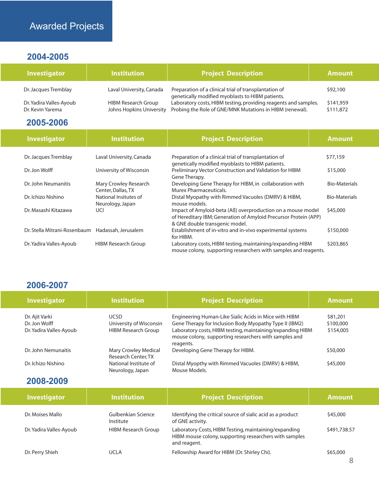# Awarded Projects

# **2004-2005**

| <b>Investigator</b>                         | <b>Institution</b>                                     | <b>Project Description</b>                                                                                                  | <b>Amount</b>          |
|---------------------------------------------|--------------------------------------------------------|-----------------------------------------------------------------------------------------------------------------------------|------------------------|
| Dr. Jacques Tremblay                        | Laval University, Canada                               | Preparation of a clinical trial of transplantation of<br>genetically modified myoblasts to HIBM patients.                   | \$92,100               |
| Dr. Yadira Valles-Ayoub<br>Dr. Kevin Yarema | <b>HIBM Research Group</b><br>Johns Hopkins University | Laboratory costs, HIBM testing, providing reagents and samples.<br>Probing the Role of GNE/MNK Mutations in HIBM (renewal). | \$141,959<br>\$111,872 |

# **2005-2006**

| Investigator                                     | <b>Institution</b>                          | <b>Project Description</b>                                                                                                                                        | <b>Amount</b>        |
|--------------------------------------------------|---------------------------------------------|-------------------------------------------------------------------------------------------------------------------------------------------------------------------|----------------------|
| Dr. Jacques Tremblay                             | Laval University, Canada                    | Preparation of a clinical trial of transplantation of<br>genetically modified myoblasts to HIBM patients.                                                         | \$77,159             |
| Dr. Jon Wolff                                    | University of Wisconsin                     | Preliminary Vector Construction and Validation for HIBM<br>Gene Therapy.                                                                                          | \$15,000             |
| Dr. John Neumanitis                              | Mary Crowley Research<br>Center, Dallas, TX | Developing Gene Therapy for HIBM, in collaboration with<br>Murex Pharmaceuticals.                                                                                 | <b>Bio-Materials</b> |
| Dr. Ichizo Nishino                               | National Insitutes of<br>Neurology, Japan   | Distal Myopathy with Rimmed Vacuoles (DMRV) & HIBM,<br>mouse models.                                                                                              | <b>Bio-Materials</b> |
| Dr. Masashi Kitazawa                             | UCI                                         | Impact of Amyloid-beta (Aß) overproduction on a mouse model<br>of Hereditary IBM; Generation of Amyloid Precursor Protein (APP)<br>& GNE double transgenic model. | \$45,000             |
| Dr. Stella Mitrani-Rosenbaum Hadassah, Jerusalem |                                             | Establishment of in-vitro and in-vivo experimental systems<br>for HIBM.                                                                                           | \$150,000            |
| Dr. Yadira Valles-Ayoub                          | <b>HIBM Research Group</b>                  | Laboratory costs, HIBM testing, maintaining/expanding HIBM<br>mouse colony, supporting researchers with samples and reagents.                                     | \$203,865            |

# **2006-2007**

| <b>Investigator</b>     | <b>Institution</b>                          | <b>Project Description</b>                                                                                                       | <b>Amount</b> |
|-------------------------|---------------------------------------------|----------------------------------------------------------------------------------------------------------------------------------|---------------|
| Dr. Ajit Varki          | <b>UCSD</b>                                 | Engineering Human-Like Sialic Acids in Mice with HIBM                                                                            | \$81,201      |
| Dr. Jon Wolff           | University of Wisconsin                     | Gene Therapy for Inclusion Body Myopathy Type II (IBM2)                                                                          | \$100,000     |
| Dr. Yadira Valles-Ayoub | <b>HIBM Research Group</b>                  | Laboratory costs, HIBM testing, maintaining/expanding HIBM<br>mouse colony, supporting researchers with samples and<br>reagents. | \$154,005     |
| Dr. John Nemunaitis     | Mary Crowley Medical<br>Research Center, TX | Developing Gene Therapy for HIBM.                                                                                                | \$50,000      |
| Dr. Ichizo Nishino      | National Institute of<br>Neurology, Japan   | Distal Myopthy with Rimmed Vacuoles (DMRV) & HIBM,<br>Mouse Models.                                                              | \$45,000      |

| <b>Investigator</b>     | <b>Institution</b>              | <b>Project Description</b>                                                                                                      | <b>Amount</b> |
|-------------------------|---------------------------------|---------------------------------------------------------------------------------------------------------------------------------|---------------|
| Dr. Moises Mallo        | Gulbenkian Science<br>Institute | Identifying the critical source of sialic acid as a product<br>of GNE activity.                                                 | \$45,000      |
| Dr. Yadira Valles-Ayoub | <b>HIBM Research Group</b>      | Laboratory Costs, HIBM Testing, maintaining/expanding<br>HIBM mouse colony, supporting researchers with samples<br>and reagent. | \$491,738.57  |
| Dr. Perry Shieh         | <b>UCLA</b>                     | Fellowship Award for HIBM (Dr. Shirley Chi).                                                                                    | \$65,000      |